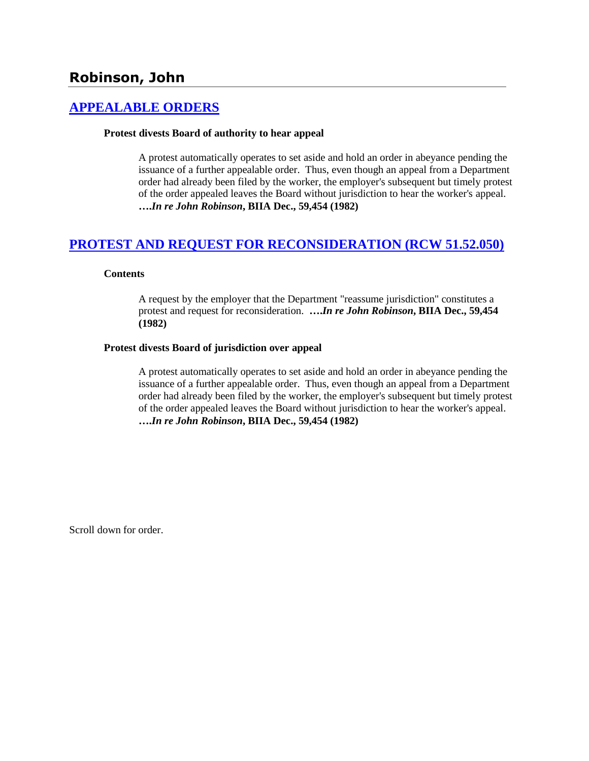# **[APPEALABLE ORDERS](http://www.biia.wa.gov/SDSubjectIndex.html#APPEALABLE_ORDERS)**

#### **Protest divests Board of authority to hear appeal**

A protest automatically operates to set aside and hold an order in abeyance pending the issuance of a further appealable order. Thus, even though an appeal from a Department order had already been filed by the worker, the employer's subsequent but timely protest of the order appealed leaves the Board without jurisdiction to hear the worker's appeal. **….***In re John Robinson***, BIIA Dec., 59,454 (1982)** 

# **[PROTEST AND REQUEST FOR RECONSIDERATION \(RCW 51.52.050\)](http://www.biia.wa.gov/SDSubjectIndex.html#PROTEST_AND_REQUEST_FOR_RECONSIDERATION)**

### **Contents**

A request by the employer that the Department "reassume jurisdiction" constitutes a protest and request for reconsideration. **….***In re John Robinson***, BIIA Dec., 59,454 (1982)** 

### **Protest divests Board of jurisdiction over appeal**

A protest automatically operates to set aside and hold an order in abeyance pending the issuance of a further appealable order. Thus, even though an appeal from a Department order had already been filed by the worker, the employer's subsequent but timely protest of the order appealed leaves the Board without jurisdiction to hear the worker's appeal. **….***In re John Robinson***, BIIA Dec., 59,454 (1982)** 

Scroll down for order.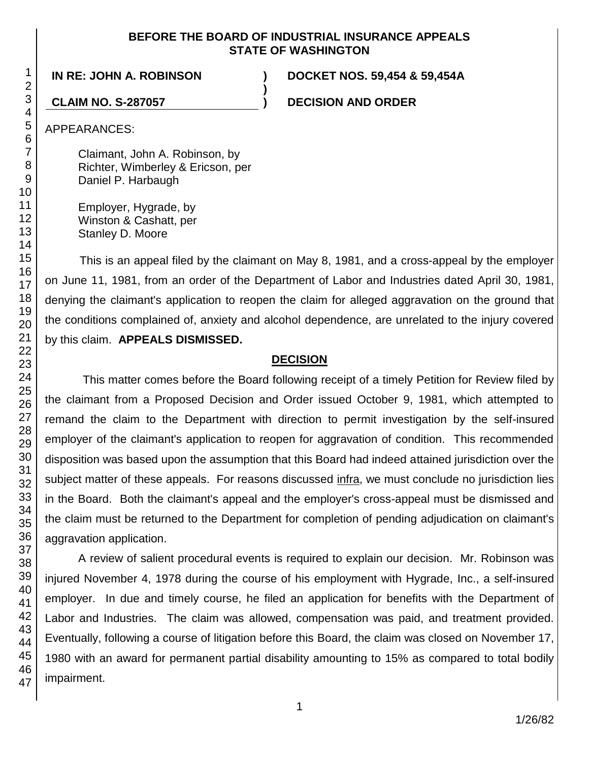## **BEFORE THE BOARD OF INDUSTRIAL INSURANCE APPEALS STATE OF WASHINGTON**

**)**

**IN RE: JOHN A. ROBINSON ) DOCKET NOS. 59,454 & 59,454A**

**CLAIM NO. S-287057 ) DECISION AND ORDER**

APPEARANCES:

Claimant, John A. Robinson, by Richter, Wimberley & Ericson, per Daniel P. Harbaugh

Employer, Hygrade, by Winston & Cashatt, per Stanley D. Moore

This is an appeal filed by the claimant on May 8, 1981, and a cross-appeal by the employer on June 11, 1981, from an order of the Department of Labor and Industries dated April 30, 1981, denying the claimant's application to reopen the claim for alleged aggravation on the ground that the conditions complained of, anxiety and alcohol dependence, are unrelated to the injury covered by this claim. **APPEALS DISMISSED.**

## **DECISION**

This matter comes before the Board following receipt of a timely Petition for Review filed by the claimant from a Proposed Decision and Order issued October 9, 1981, which attempted to remand the claim to the Department with direction to permit investigation by the self-insured employer of the claimant's application to reopen for aggravation of condition. This recommended disposition was based upon the assumption that this Board had indeed attained jurisdiction over the subject matter of these appeals. For reasons discussed infra, we must conclude no jurisdiction lies in the Board. Both the claimant's appeal and the employer's cross-appeal must be dismissed and the claim must be returned to the Department for completion of pending adjudication on claimant's aggravation application.

A review of salient procedural events is required to explain our decision. Mr. Robinson was injured November 4, 1978 during the course of his employment with Hygrade, Inc., a self-insured employer. In due and timely course, he filed an application for benefits with the Department of Labor and Industries. The claim was allowed, compensation was paid, and treatment provided. Eventually, following a course of litigation before this Board, the claim was closed on November 17, 1980 with an award for permanent partial disability amounting to 15% as compared to total bodily impairment.

47

1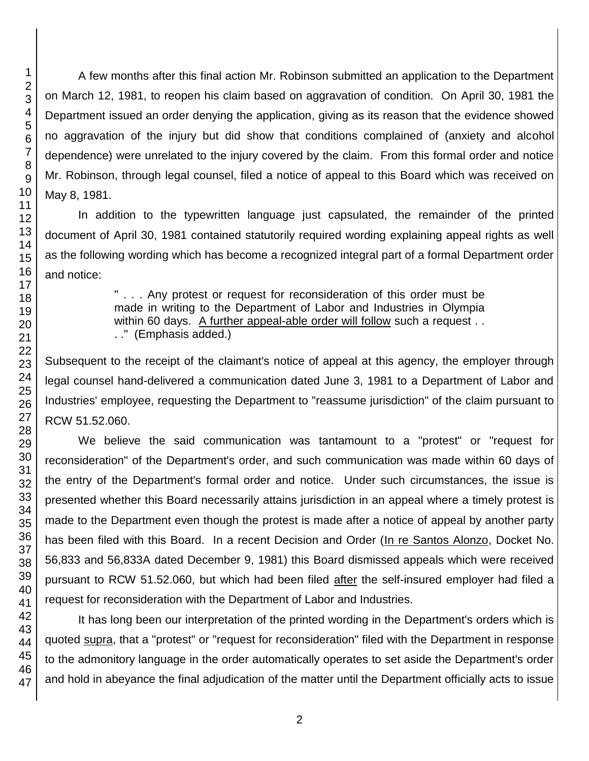A few months after this final action Mr. Robinson submitted an application to the Department on March 12, 1981, to reopen his claim based on aggravation of condition. On April 30, 1981 the Department issued an order denying the application, giving as its reason that the evidence showed no aggravation of the injury but did show that conditions complained of (anxiety and alcohol dependence) were unrelated to the injury covered by the claim. From this formal order and notice Mr. Robinson, through legal counsel, filed a notice of appeal to this Board which was received on May 8, 1981.

In addition to the typewritten language just capsulated, the remainder of the printed document of April 30, 1981 contained statutorily required wording explaining appeal rights as well as the following wording which has become a recognized integral part of a formal Department order and notice:

> " . . . Any protest or request for reconsideration of this order must be made in writing to the Department of Labor and Industries in Olympia within 60 days. A further appeal-able order will follow such a request.. . ." (Emphasis added.)

Subsequent to the receipt of the claimant's notice of appeal at this agency, the employer through legal counsel hand-delivered a communication dated June 3, 1981 to a Department of Labor and Industries' employee, requesting the Department to "reassume jurisdiction" of the claim pursuant to RCW 51.52.060.

We believe the said communication was tantamount to a "protest" or "request for reconsideration" of the Department's order, and such communication was made within 60 days of the entry of the Department's formal order and notice. Under such circumstances, the issue is presented whether this Board necessarily attains jurisdiction in an appeal where a timely protest is made to the Department even though the protest is made after a notice of appeal by another party has been filed with this Board. In a recent Decision and Order (In re Santos Alonzo, Docket No. 56,833 and 56,833A dated December 9, 1981) this Board dismissed appeals which were received pursuant to RCW 51.52.060, but which had been filed after the self-insured employer had filed a request for reconsideration with the Department of Labor and Industries.

It has long been our interpretation of the printed wording in the Department's orders which is quoted supra, that a "protest" or "request for reconsideration" filed with the Department in response to the admonitory language in the order automatically operates to set aside the Department's order and hold in abeyance the final adjudication of the matter until the Department officially acts to issue

1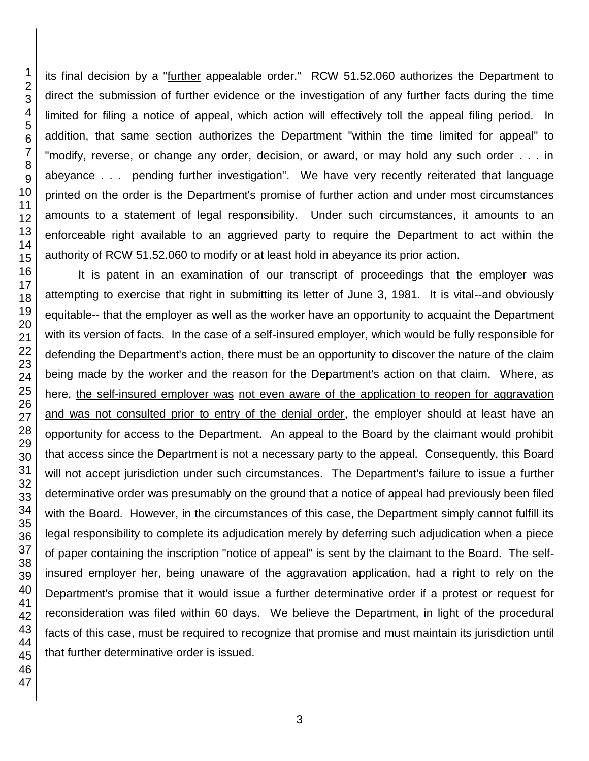its final decision by a "further appealable order." RCW 51.52.060 authorizes the Department to direct the submission of further evidence or the investigation of any further facts during the time limited for filing a notice of appeal, which action will effectively toll the appeal filing period. In addition, that same section authorizes the Department "within the time limited for appeal" to "modify, reverse, or change any order, decision, or award, or may hold any such order . . . in abeyance . . . pending further investigation". We have very recently reiterated that language printed on the order is the Department's promise of further action and under most circumstances amounts to a statement of legal responsibility. Under such circumstances, it amounts to an enforceable right available to an aggrieved party to require the Department to act within the authority of RCW 51.52.060 to modify or at least hold in abeyance its prior action.

It is patent in an examination of our transcript of proceedings that the employer was attempting to exercise that right in submitting its letter of June 3, 1981. It is vital--and obviously equitable-- that the employer as well as the worker have an opportunity to acquaint the Department with its version of facts. In the case of a self-insured employer, which would be fully responsible for defending the Department's action, there must be an opportunity to discover the nature of the claim being made by the worker and the reason for the Department's action on that claim. Where, as here, the self-insured employer was not even aware of the application to reopen for aggravation and was not consulted prior to entry of the denial order, the employer should at least have an opportunity for access to the Department. An appeal to the Board by the claimant would prohibit that access since the Department is not a necessary party to the appeal. Consequently, this Board will not accept jurisdiction under such circumstances. The Department's failure to issue a further determinative order was presumably on the ground that a notice of appeal had previously been filed with the Board. However, in the circumstances of this case, the Department simply cannot fulfill its legal responsibility to complete its adjudication merely by deferring such adjudication when a piece of paper containing the inscription "notice of appeal" is sent by the claimant to the Board. The selfinsured employer her, being unaware of the aggravation application, had a right to rely on the Department's promise that it would issue a further determinative order if a protest or request for reconsideration was filed within 60 days. We believe the Department, in light of the procedural facts of this case, must be required to recognize that promise and must maintain its jurisdiction until that further determinative order is issued.